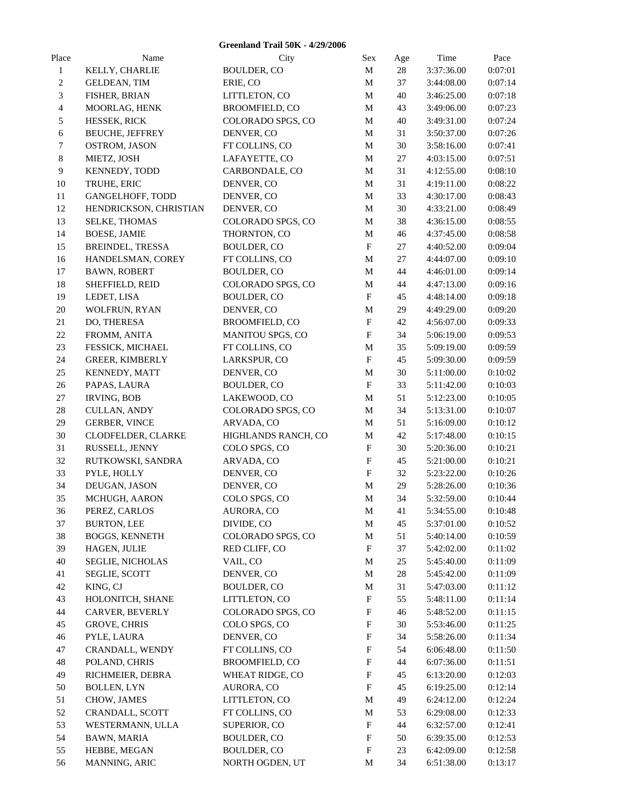| <b>Greenland Trail 50K - 4/29/2006</b> |                        |                       |                           |        |            |         |
|----------------------------------------|------------------------|-----------------------|---------------------------|--------|------------|---------|
| Place                                  | Name                   | City                  | Sex                       | Age    | Time       | Pace    |
| $\mathbf{1}$                           | KELLY, CHARLIE         | <b>BOULDER, CO</b>    | M                         | $28\,$ | 3:37:36.00 | 0:07:01 |
| 2                                      | <b>GELDEAN, TIM</b>    | ERIE, CO              | M                         | 37     | 3:44:08.00 | 0:07:14 |
| 3                                      | FISHER, BRIAN          | LITTLETON, CO         | M                         | 40     | 3:46:25.00 | 0:07:18 |
| 4                                      | MOORLAG, HENK          | <b>BROOMFIELD, CO</b> | M                         | 43     | 3:49:06.00 | 0:07:23 |
| 5                                      | HESSEK, RICK           | COLORADO SPGS, CO     | M                         | 40     | 3:49:31.00 | 0:07:24 |
| 6                                      | <b>BEUCHE, JEFFREY</b> | DENVER, CO            | M                         | 31     | 3:50:37.00 | 0:07:26 |
| 7                                      | OSTROM, JASON          | FT COLLINS, CO        | M                         | $30\,$ | 3:58:16.00 | 0:07:41 |
| 8                                      | MIETZ, JOSH            | LAFAYETTE, CO         | M                         | 27     | 4:03:15.00 | 0:07:51 |
| 9                                      | KENNEDY, TODD          | CARBONDALE, CO        | M                         | 31     | 4:12:55.00 | 0:08:10 |
| 10                                     | TRUHE, ERIC            | DENVER, CO            | M                         | 31     | 4:19:11.00 | 0:08:22 |
| 11                                     | GANGELHOFF, TODD       | DENVER, CO            | M                         | 33     | 4:30:17.00 | 0:08:43 |
| 12                                     | HENDRICKSON, CHRISTIAN | DENVER, CO            | M                         | 30     | 4:33:21.00 | 0:08:49 |
| 13                                     | SELKE, THOMAS          | COLORADO SPGS, CO     | M                         | 38     | 4:36:15.00 | 0:08:55 |
| 14                                     | <b>BOESE, JAMIE</b>    | THORNTON, CO          | M                         | 46     | 4:37:45.00 | 0:08:58 |
| 15                                     | BREINDEL, TRESSA       | <b>BOULDER, CO</b>    | $\boldsymbol{\mathrm{F}}$ | 27     | 4:40:52.00 | 0:09:04 |
| 16                                     | HANDELSMAN, COREY      | FT COLLINS, CO        | $\mathbf M$               | 27     | 4:44:07.00 | 0:09:10 |
| $17\,$                                 | <b>BAWN, ROBERT</b>    | <b>BOULDER, CO</b>    | M                         | 44     | 4:46:01.00 | 0:09:14 |
| 18                                     | SHEFFIELD, REID        | COLORADO SPGS, CO     | M                         | 44     | 4:47:13.00 | 0:09:16 |
| 19                                     | LEDET, LISA            | <b>BOULDER, CO</b>    | ${\bf F}$                 | 45     | 4:48:14.00 | 0:09:18 |
| 20                                     | WOLFRUN, RYAN          | DENVER, CO            | M                         | 29     | 4:49:29.00 | 0:09:20 |
| 21                                     | DO, THERESA            | <b>BROOMFIELD, CO</b> | $\boldsymbol{\mathrm{F}}$ | 42     | 4:56:07.00 | 0:09:33 |
| $22\,$                                 | FROMM, ANITA           | MANITOU SPGS, CO      | $\boldsymbol{\mathrm{F}}$ | 34     | 5:06:19.00 | 0:09:53 |
| 23                                     | FESSICK, MICHAEL       | FT COLLINS, CO        | M                         | 35     | 5:09:19.00 | 0:09:59 |
| 24                                     | GREER, KIMBERLY        | LARKSPUR, CO          | $\mathbf F$               | 45     | 5:09:30.00 | 0:09:59 |
| 25                                     | KENNEDY, MATT          | DENVER, CO            | M                         | $30\,$ | 5:11:00.00 | 0:10:02 |
| $26\,$                                 | PAPAS, LAURA           | <b>BOULDER, CO</b>    | ${\bf F}$                 | 33     | 5:11:42.00 | 0:10:03 |
| $27\,$                                 | <b>IRVING, BOB</b>     | LAKEWOOD, CO          | M                         | 51     | 5:12:23.00 | 0:10:05 |
| $28\,$                                 | CULLAN, ANDY           | COLORADO SPGS, CO     | M                         | 34     | 5:13:31.00 | 0:10:07 |
| 29                                     | <b>GERBER, VINCE</b>   | ARVADA, CO            | M                         | 51     | 5:16:09.00 | 0:10:12 |
| 30                                     | CLODFELDER, CLARKE     | HIGHLANDS RANCH, CO   | M                         | 42     | 5:17:48.00 | 0:10:15 |
| 31                                     | RUSSELL, JENNY         | COLO SPGS, CO         | $\boldsymbol{\mathrm{F}}$ | 30     | 5:20:36.00 | 0:10:21 |
| 32                                     | RUTKOWSKI, SANDRA      | ARVADA, CO            | ${\bf F}$                 | 45     | 5:21:00.00 | 0:10:21 |
| 33                                     | PYLE, HOLLY            | DENVER, CO            | $_{\rm F}$                | 32     | 5:23:22.00 | 0:10:26 |
| 34                                     | DEUGAN, JASON          | DENVER, CO            | M                         | 29     | 5:28:26.00 | 0:10:36 |
| 35                                     | MCHUGH, AARON          | COLO SPGS, CO         | M                         | 34     | 5:32:59.00 | 0:10:44 |
| 36                                     | PEREZ, CARLOS          | AURORA, CO            | M                         | 41     | 5:34:55.00 | 0:10:48 |
| 37                                     | <b>BURTON, LEE</b>     | DIVIDE, CO            | M                         | 45     | 5:37:01.00 | 0:10:52 |
| 38                                     | <b>BOGGS, KENNETH</b>  | COLORADO SPGS, CO     | M                         | 51     | 5:40:14.00 | 0:10:59 |
| 39                                     | HAGEN, JULIE           | RED CLIFF, CO         | $\boldsymbol{\mathrm{F}}$ | 37     | 5:42:02.00 | 0:11:02 |
| 40                                     | SEGLIE, NICHOLAS       | VAIL, CO              | M                         | 25     | 5:45:40.00 | 0:11:09 |
| 41                                     | SEGLIE, SCOTT          | DENVER, CO            | M                         | 28     | 5:45:42.00 | 0:11:09 |
| 42                                     | KING, CJ               | <b>BOULDER, CO</b>    | M                         | 31     | 5:47:03.00 | 0:11:12 |
| 43                                     | HOLONITCH, SHANE       | LITTLETON, CO         | $\boldsymbol{\mathrm{F}}$ | 55     | 5:48:11.00 | 0:11:14 |
| 44                                     | CARVER, BEVERLY        | COLORADO SPGS, CO     | $\boldsymbol{\mathrm{F}}$ | 46     | 5:48:52.00 | 0:11:15 |
| 45                                     | <b>GROVE, CHRIS</b>    | COLO SPGS, CO         | $\boldsymbol{\mathrm{F}}$ | 30     | 5:53:46.00 | 0:11:25 |
| 46                                     | PYLE, LAURA            | DENVER, CO            | $\boldsymbol{\mathrm{F}}$ | 34     | 5:58:26.00 | 0:11:34 |
| 47                                     | CRANDALL, WENDY        | FT COLLINS, CO        | $\boldsymbol{\mathrm{F}}$ | 54     | 6:06:48.00 | 0:11:50 |
| 48                                     | POLAND, CHRIS          | <b>BROOMFIELD, CO</b> | ${\bf F}$                 | 44     | 6:07:36.00 | 0:11:51 |
| 49                                     | RICHMEIER, DEBRA       | WHEAT RIDGE, CO       | $\boldsymbol{\mathrm{F}}$ | 45     | 6:13:20.00 | 0:12:03 |
| 50                                     | <b>BOLLEN, LYN</b>     | AURORA, CO            | F                         | 45     | 6:19:25.00 | 0:12:14 |
| 51                                     | CHOW, JAMES            | LITTLETON, CO         | M                         | 49     | 6:24:12.00 | 0:12:24 |
| 52                                     | CRANDALL, SCOTT        | FT COLLINS, CO        | M                         | 53     | 6:29:08.00 | 0:12:33 |
| 53                                     | WESTERMANN, ULLA       | SUPERIOR, CO          | F                         | 44     | 6:32:57.00 | 0:12:41 |
| 54                                     | <b>BAWN, MARIA</b>     | BOULDER, CO           | F                         | 50     | 6:39:35.00 | 0:12:53 |
| 55                                     | HEBBE, MEGAN           | <b>BOULDER, CO</b>    | $\boldsymbol{\mathrm{F}}$ | 23     | 6:42:09.00 | 0:12:58 |
| 56                                     | MANNING, ARIC          | NORTH OGDEN, UT       | $\mathbf M$               | 34     | 6:51:38.00 | 0:13:17 |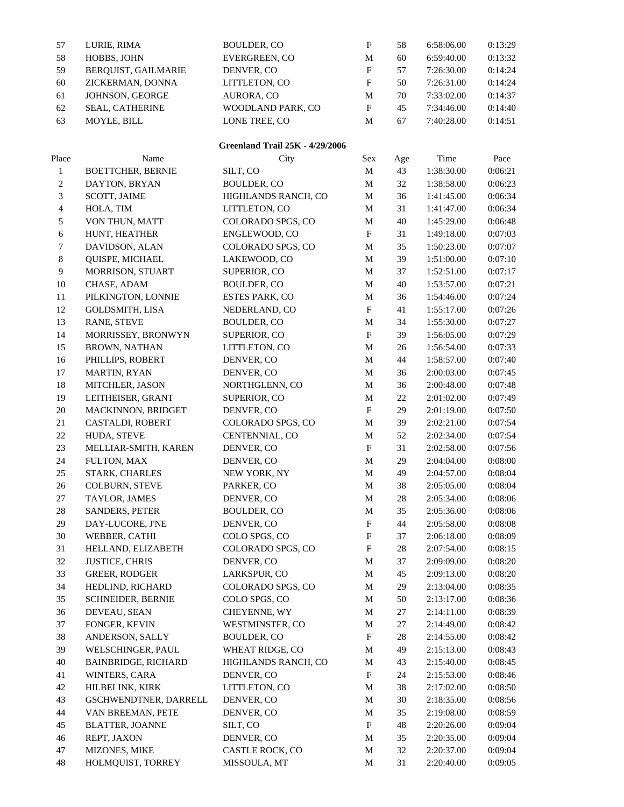| 57                       | LURIE, RIMA                | <b>BOULDER, CO</b>                     | ${\bf F}$                 | 58     | 6:58:06.00 | 0:13:29 |  |
|--------------------------|----------------------------|----------------------------------------|---------------------------|--------|------------|---------|--|
| 58                       | HOBBS, JOHN                | EVERGREEN, CO                          | M                         | 60     | 6:59:40.00 | 0:13:32 |  |
| 59                       | BERQUIST, GAILMARIE        | DENVER, CO                             | ${\bf F}$                 | 57     | 7:26:30.00 | 0:14:24 |  |
| 60                       | ZICKERMAN, DONNA           | LITTLETON, CO                          | $\mathbf F$               | 50     | 7:26:31.00 | 0:14:24 |  |
| 61                       | JOHNSON, GEORGE            | AURORA, CO                             | M                         | 70     | 7:33:02.00 | 0:14:37 |  |
| 62                       | SEAL, CATHERINE            | WOODLAND PARK, CO                      | ${\bf F}$                 | 45     | 7:34:46.00 | 0:14:40 |  |
| 63                       | MOYLE, BILL                | LONE TREE, CO                          | M                         | 67     | 7:40:28.00 | 0:14:51 |  |
|                          |                            |                                        |                           |        |            |         |  |
|                          |                            | <b>Greenland Trail 25K - 4/29/2006</b> |                           |        |            |         |  |
| Place                    | Name                       | City                                   | Sex                       | Age    | Time       | Pace    |  |
| $\mathbf{1}$             | <b>BOETTCHER, BERNIE</b>   | SILT, CO                               | M                         | 43     | 1:38:30.00 | 0:06:21 |  |
| $\boldsymbol{2}$         | DAYTON, BRYAN              | <b>BOULDER, CO</b>                     | M                         | 32     | 1:38:58.00 | 0:06:23 |  |
| $\mathfrak{Z}$           | SCOTT, JAIME               | HIGHLANDS RANCH, CO                    | M                         | 36     | 1:41:45.00 | 0:06:34 |  |
| $\overline{\mathcal{A}}$ | HOLA, TIM                  | LITTLETON, CO                          | M                         | 31     | 1:41:47.00 | 0:06:34 |  |
| 5                        | VON THUN, MATT             | COLORADO SPGS, CO                      | M                         | 40     | 1:45:29.00 | 0:06:48 |  |
| 6                        | HUNT, HEATHER              | ENGLEWOOD, CO                          | $\boldsymbol{\mathrm{F}}$ | 31     | 1:49:18.00 | 0:07:03 |  |
| 7                        | DAVIDSON, ALAN             | COLORADO SPGS, CO                      | M                         | 35     | 1:50:23.00 | 0:07:07 |  |
| $\,8\,$                  | QUISPE, MICHAEL            | LAKEWOOD, CO                           | M                         | 39     | 1:51:00.00 | 0:07:10 |  |
| $\overline{9}$           | MORRISON, STUART           | SUPERIOR, CO                           | M                         | 37     | 1:52:51.00 | 0:07:17 |  |
| 10                       | CHASE, ADAM                | <b>BOULDER, CO</b>                     | M                         | 40     | 1:53:57.00 | 0:07:21 |  |
| 11                       | PILKINGTON, LONNIE         | <b>ESTES PARK, CO</b>                  | M                         | 36     | 1:54:46.00 | 0:07:24 |  |
| 12                       | <b>GOLDSMITH, LISA</b>     | NEDERLAND, CO                          | ${\bf F}$                 | 41     | 1:55:17.00 | 0:07:26 |  |
| 13                       | RANE, STEVE                | <b>BOULDER, CO</b>                     | M                         | 34     | 1:55:30.00 | 0:07:27 |  |
| 14                       |                            |                                        | $\mathbf{F}$              | 39     |            | 0:07:29 |  |
|                          | MORRISSEY, BRONWYN         | SUPERIOR, CO                           |                           |        | 1:56:05.00 |         |  |
| 15                       | <b>BROWN, NATHAN</b>       | LITTLETON, CO                          | M                         | $26\,$ | 1:56:54.00 | 0:07:33 |  |
| 16                       | PHILLIPS, ROBERT           | DENVER, CO                             | M                         | 44     | 1:58:57.00 | 0:07:40 |  |
| 17                       | MARTIN, RYAN               | DENVER, CO                             | M                         | 36     | 2:00:03.00 | 0:07:45 |  |
| 18                       | MITCHLER, JASON            | NORTHGLENN, CO                         | M                         | 36     | 2:00:48.00 | 0:07:48 |  |
| 19                       | LEITHEISER, GRANT          | SUPERIOR, CO                           | M                         | 22     | 2:01:02.00 | 0:07:49 |  |
| $20\,$                   | MACKINNON, BRIDGET         | DENVER, CO                             | $\mathbf F$               | 29     | 2:01:19.00 | 0:07:50 |  |
| 21                       | CASTALDI, ROBERT           | COLORADO SPGS, CO                      | M                         | 39     | 2:02:21.00 | 0:07:54 |  |
| $22\,$                   | HUDA, STEVE                | CENTENNIAL, CO                         | M                         | 52     | 2:02:34.00 | 0:07:54 |  |
| $23\,$                   | MELLIAR-SMITH, KAREN       | DENVER, CO                             | $\boldsymbol{\mathrm{F}}$ | 31     | 2:02:58.00 | 0:07:56 |  |
| $24\,$                   | FULTON, MAX                | DENVER, CO                             | M                         | 29     | 2:04:04.00 | 0:08:00 |  |
| $25\,$                   | STARK, CHARLES             | NEW YORK, NY                           | M                         | 49     | 2:04:57.00 | 0:08:04 |  |
| 26                       | COLBURN, STEVE             | PARKER, CO                             | M                         | 38     | 2:05:05.00 | 0:08:04 |  |
| $27\,$                   | TAYLOR, JAMES              | DENVER, CO                             | $\mathbf M$               | $28\,$ | 2:05:34.00 | 0:08:06 |  |
| 28                       | SANDERS, PETER             | BOULDER, CO                            | M                         | 35     | 2:05:36.00 | 0:08:06 |  |
| 29                       | DAY-LUCORE, J'NE           | DENVER, CO                             | $\boldsymbol{\mathrm{F}}$ | 44     | 2:05:58.00 | 0:08:08 |  |
| 30                       | WEBBER, CATHI              | COLO SPGS, CO                          | $\boldsymbol{\mathrm{F}}$ | 37     | 2:06:18.00 | 0:08:09 |  |
| 31                       | HELLAND, ELIZABETH         | COLORADO SPGS, CO                      | $\boldsymbol{F}$          | $28\,$ | 2:07:54.00 | 0:08:15 |  |
| 32                       | <b>JUSTICE, CHRIS</b>      | DENVER, CO                             | M                         | 37     | 2:09:09.00 | 0:08:20 |  |
| 33                       | <b>GREER, RODGER</b>       | LARKSPUR, CO                           | M                         | 45     | 2:09:13.00 | 0:08:20 |  |
| 34                       | HEDLIND, RICHARD           | COLORADO SPGS, CO                      | M                         | 29     | 2:13:04.00 | 0:08:35 |  |
| 35                       | <b>SCHNEIDER, BERNIE</b>   | COLO SPGS, CO                          | M                         | 50     | 2:13:17.00 | 0:08:36 |  |
| 36                       | DEVEAU, SEAN               | CHEYENNE, WY                           | M                         | 27     | 2:14:11.00 | 0:08:39 |  |
| 37                       | FONGER, KEVIN              | WESTMINSTER, CO                        | M                         | 27     | 2:14:49.00 | 0:08:42 |  |
| 38                       | ANDERSON, SALLY            | <b>BOULDER, CO</b>                     | $\boldsymbol{\mathrm{F}}$ | 28     | 2:14:55.00 | 0:08:42 |  |
| 39                       | WELSCHINGER, PAUL          | WHEAT RIDGE, CO                        | M                         | 49     | 2:15:13.00 | 0:08:43 |  |
| 40                       | <b>BAINBRIDGE, RICHARD</b> | HIGHLANDS RANCH, CO                    | M                         | 43     | 2:15:40.00 | 0:08:45 |  |
| 41                       | WINTERS, CARA              | DENVER, CO                             | $\boldsymbol{\mathrm{F}}$ | 24     | 2:15:53.00 | 0:08:46 |  |
| $42\,$                   | HILBELINK, KIRK            | LITTLETON, CO                          | M                         | 38     | 2:17:02.00 | 0:08:50 |  |
| 43                       | GSCHWENDTNER, DARRELL      | DENVER, CO                             | M                         | 30     | 2:18:35.00 | 0:08:56 |  |
| 44                       | VAN BREEMAN, PETE          | DENVER, CO                             | M                         | 35     | 2:19:08.00 | 0:08:59 |  |
| 45                       | <b>BLATTER, JOANNE</b>     | SILT, CO                               | $\boldsymbol{\mathrm{F}}$ | 48     | 2:20:26.00 | 0:09:04 |  |
| 46                       | REPT, JAXON                | DENVER, CO                             | $\mathbf M$               | 35     | 2:20:35.00 | 0:09:04 |  |
| 47                       | MIZONES, MIKE              | CASTLE ROCK, CO                        | M                         | 32     | 2:20:37.00 | 0:09:04 |  |
| 48                       | HOLMQUIST, TORREY          | MISSOULA, MT                           | $\mathbf M$               | 31     | 2:20:40.00 | 0:09:05 |  |
|                          |                            |                                        |                           |        |            |         |  |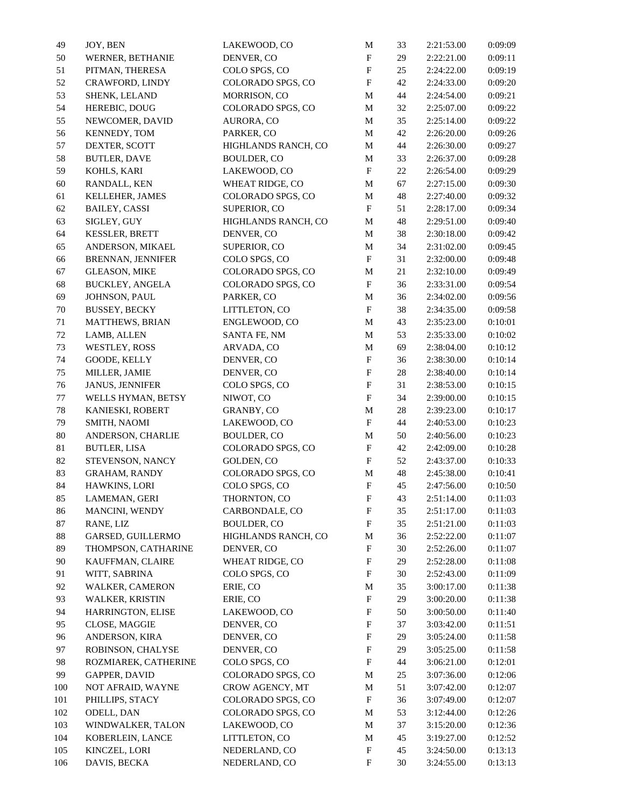| 49     | JOY, BEN                 | LAKEWOOD, CO        | M                         | 33     | 2:21:53.00 | 0:09:09 |
|--------|--------------------------|---------------------|---------------------------|--------|------------|---------|
| 50     | WERNER, BETHANIE         | DENVER, CO          | $\boldsymbol{\mathrm{F}}$ | 29     | 2:22:21.00 | 0:09:11 |
| 51     | PITMAN, THERESA          | COLO SPGS, CO       | ${\bf F}$                 | 25     | 2:24:22.00 | 0:09:19 |
| 52     | CRAWFORD, LINDY          | COLORADO SPGS, CO   | ${\bf F}$                 | 42     | 2:24:33.00 | 0:09:20 |
| 53     | SHENK, LELAND            | MORRISON, CO        | $\mathbf M$               | 44     | 2:24:54.00 | 0:09:21 |
| 54     | HEREBIC, DOUG            | COLORADO SPGS, CO   | M                         | 32     | 2:25:07.00 | 0:09:22 |
| 55     | NEWCOMER, DAVID          | AURORA, CO          | $\mathbf M$               | 35     | 2:25:14.00 | 0:09:22 |
| 56     | KENNEDY, TOM             | PARKER, CO          | M                         | 42     | 2:26:20.00 | 0:09:26 |
| 57     | DEXTER, SCOTT            | HIGHLANDS RANCH, CO | M                         | 44     | 2:26:30.00 | 0:09:27 |
| 58     | <b>BUTLER, DAVE</b>      | <b>BOULDER, CO</b>  | M                         | 33     | 2:26:37.00 | 0:09:28 |
| 59     | KOHLS, KARI              | LAKEWOOD, CO        | $\boldsymbol{\mathrm{F}}$ | $22\,$ | 2:26:54.00 | 0:09:29 |
| $60\,$ | RANDALL, KEN             | WHEAT RIDGE, CO     | M                         | 67     | 2:27:15.00 | 0:09:30 |
| 61     | KELLEHER, JAMES          | COLORADO SPGS, CO   | M                         | 48     | 2:27:40.00 | 0:09:32 |
| 62     | <b>BAILEY, CASSI</b>     | SUPERIOR, CO        | $\mathbf F$               | 51     | 2:28:17.00 | 0:09:34 |
| 63     | SIGLEY, GUY              | HIGHLANDS RANCH, CO | M                         | 48     | 2:29:51.00 | 0:09:40 |
| 64     | <b>KESSLER, BRETT</b>    | DENVER, CO          | M                         | 38     | 2:30:18.00 | 0:09:42 |
| 65     | ANDERSON, MIKAEL         | SUPERIOR, CO        | $\mathbf M$               | 34     | 2:31:02.00 | 0:09:45 |
| 66     | <b>BRENNAN, JENNIFER</b> | COLO SPGS, CO       | $\boldsymbol{\mathrm{F}}$ | 31     | 2:32:00.00 | 0:09:48 |
| 67     | <b>GLEASON, MIKE</b>     | COLORADO SPGS, CO   | M                         | 21     | 2:32:10.00 | 0:09:49 |
| 68     | <b>BUCKLEY, ANGELA</b>   | COLORADO SPGS, CO   | $\boldsymbol{\mathrm{F}}$ | 36     | 2:33:31.00 | 0:09:54 |
| 69     | JOHNSON, PAUL            | PARKER, CO          | $\mathbf M$               | 36     | 2:34:02.00 | 0:09:56 |
|        |                          |                     | $\boldsymbol{\mathrm{F}}$ |        |            |         |
| $70\,$ | <b>BUSSEY, BECKY</b>     | LITTLETON, CO       |                           | 38     | 2:34:35.00 | 0:09:58 |
| 71     | MATTHEWS, BRIAN          | ENGLEWOOD, CO       | $\mathbf M$               | 43     | 2:35:23.00 | 0:10:01 |
| $72\,$ | LAMB, ALLEN              | SANTA FE, NM        | M                         | 53     | 2:35:33.00 | 0:10:02 |
| 73     | WESTLEY, ROSS            | ARVADA, CO          | $\mathbf M$               | 69     | 2:38:04.00 | 0:10:12 |
| 74     | GOODE, KELLY             | DENVER, CO          | $\boldsymbol{\mathrm{F}}$ | 36     | 2:38:30.00 | 0:10:14 |
| 75     | MILLER, JAMIE            | DENVER, CO          | $\rm F$                   | 28     | 2:38:40.00 | 0:10:14 |
| 76     | <b>JANUS, JENNIFER</b>   | COLO SPGS, CO       | $\boldsymbol{\mathrm{F}}$ | 31     | 2:38:53.00 | 0:10:15 |
| 77     | WELLS HYMAN, BETSY       | NIWOT, CO           | $\rm F$                   | 34     | 2:39:00.00 | 0:10:15 |
| $78\,$ | KANIESKI, ROBERT         | GRANBY, CO          | M                         | 28     | 2:39:23.00 | 0:10:17 |
| 79     | SMITH, NAOMI             | LAKEWOOD, CO        | $\mathbf{F}$              | 44     | 2:40:53.00 | 0:10:23 |
| 80     | ANDERSON, CHARLIE        | <b>BOULDER, CO</b>  | M                         | 50     | 2:40:56.00 | 0:10:23 |
| 81     | <b>BUTLER, LISA</b>      | COLORADO SPGS, CO   | ${\bf F}$                 | 42     | 2:42:09.00 | 0:10:28 |
| 82     | STEVENSON, NANCY         | GOLDEN, CO          | ${\bf F}$                 | 52     | 2:43:37.00 | 0:10:33 |
| 83     | GRAHAM, RANDY            | COLORADO SPGS, CO   | M                         | 48     | 2:45:38.00 | 0:10:41 |
| 84     | HAWKINS, LORI            | COLO SPGS, CO       | $\boldsymbol{\mathrm{F}}$ | 45     | 2:47:56.00 | 0:10:50 |
| 85     | LAMEMAN, GERI            | THORNTON, CO        | ${\bf F}$                 | 43     | 2:51:14.00 | 0:11:03 |
| 86     | MANCINI, WENDY           | CARBONDALE, CO      | F                         | 35     | 2:51:17.00 | 0:11:03 |
| $87\,$ | RANE, LIZ                | BOULDER, CO         | $\boldsymbol{\mathrm{F}}$ | 35     | 2:51:21.00 | 0:11:03 |
| $88\,$ | GARSED, GUILLERMO        | HIGHLANDS RANCH, CO | M                         | 36     | 2:52:22.00 | 0:11:07 |
| 89     | THOMPSON, CATHARINE      | DENVER, CO          | $\boldsymbol{\mathrm{F}}$ | 30     | 2:52:26.00 | 0:11:07 |
| 90     | KAUFFMAN, CLAIRE         | WHEAT RIDGE, CO     | F                         | 29     | 2:52:28.00 | 0:11:08 |
| 91     | WITT, SABRINA            | COLO SPGS, CO       | $\boldsymbol{\mathrm{F}}$ | 30     | 2:52:43.00 | 0:11:09 |
| 92     | WALKER, CAMERON          | ERIE, CO            | M                         | 35     | 3:00:17.00 | 0:11:38 |
| 93     | WALKER, KRISTIN          | ERIE, CO            | ${\bf F}$                 | 29     | 3:00:20.00 | 0:11:38 |
| 94     | HARRINGTON, ELISE        | LAKEWOOD, CO        | $\boldsymbol{\mathrm{F}}$ | 50     | 3:00:50.00 | 0:11:40 |
| 95     | CLOSE, MAGGIE            | DENVER, CO          | $\boldsymbol{\mathrm{F}}$ | 37     | 3:03:42.00 | 0:11:51 |
| 96     | ANDERSON, KIRA           | DENVER, CO          | F                         | 29     | 3:05:24.00 | 0:11:58 |
| 97     | ROBINSON, CHALYSE        | DENVER, CO          | $\boldsymbol{\mathrm{F}}$ | 29     | 3:05:25.00 | 0:11:58 |
| 98     | ROZMIAREK, CATHERINE     | COLO SPGS, CO       | $\boldsymbol{\mathrm{F}}$ | 44     | 3:06:21.00 | 0:12:01 |
| 99     | <b>GAPPER, DAVID</b>     | COLORADO SPGS, CO   | M                         | 25     | 3:07:36.00 | 0:12:06 |
| 100    | NOT AFRAID, WAYNE        | CROW AGENCY, MT     | M                         | 51     | 3:07:42.00 | 0:12:07 |
| 101    | PHILLIPS, STACY          | COLORADO SPGS, CO   | ${\bf F}$                 | 36     | 3:07:49.00 | 0:12:07 |
|        |                          |                     |                           |        |            |         |
| 102    | ODELL, DAN               | COLORADO SPGS, CO   | M                         | 53     | 3:12:44.00 | 0:12:26 |
| 103    | WINDWALKER, TALON        | LAKEWOOD, CO        | M                         | 37     | 3:15:20.00 | 0:12:36 |
| 104    | KOBERLEIN, LANCE         | LITTLETON, CO       | M                         | 45     | 3:19:27.00 | 0:12:52 |
| 105    | KINCZEL, LORI            | NEDERLAND, CO       | $\boldsymbol{\mathrm{F}}$ | 45     | 3:24:50.00 | 0:13:13 |
| 106    | DAVIS, BECKA             | NEDERLAND, CO       | F                         | 30     | 3:24:55.00 | 0:13:13 |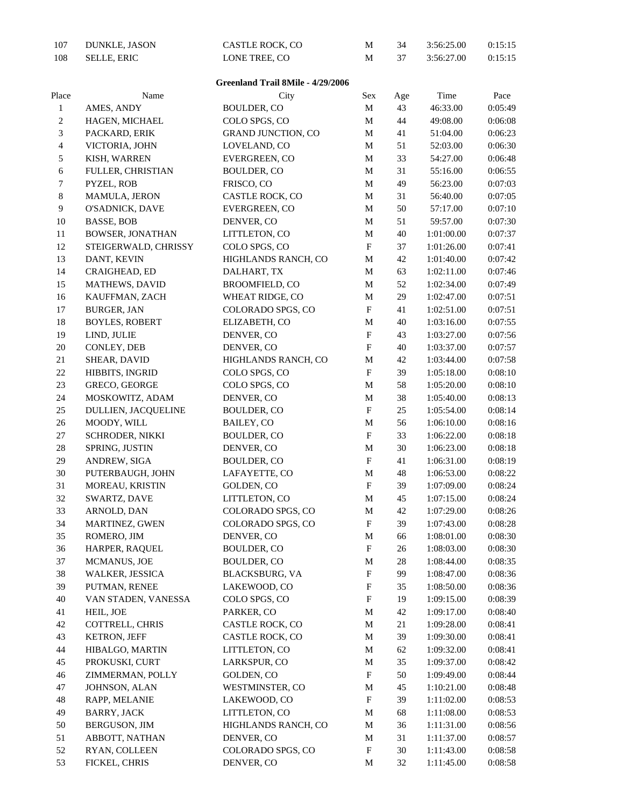| 107          | DUNKLE, JASON         | CASTLE ROCK, CO                   | M                         | 34     | 3:56:25.00 | 0:15:15 |  |
|--------------|-----------------------|-----------------------------------|---------------------------|--------|------------|---------|--|
| 108          | <b>SELLE, ERIC</b>    | LONE TREE, CO                     | M                         | 37     | 3:56:27.00 | 0:15:15 |  |
|              |                       |                                   |                           |        |            |         |  |
|              |                       | Greenland Trail 8Mile - 4/29/2006 |                           |        |            |         |  |
| Place        | Name                  | City                              | Sex                       | Age    | Time       | Pace    |  |
| $\mathbf{1}$ | AMES, ANDY            | <b>BOULDER, CO</b>                | M                         | 43     | 46:33.00   | 0:05:49 |  |
| 2            | HAGEN, MICHAEL        | COLO SPGS, CO                     | M                         | 44     | 49:08.00   | 0:06:08 |  |
| 3            | PACKARD, ERIK         | <b>GRAND JUNCTION, CO</b>         | M                         | 41     | 51:04.00   | 0:06:23 |  |
| 4            | VICTORIA, JOHN        | LOVELAND, CO                      | M                         | 51     | 52:03.00   | 0:06:30 |  |
| 5            | KISH, WARREN          | EVERGREEN, CO                     | M                         | 33     | 54:27.00   | 0:06:48 |  |
| 6            | FULLER, CHRISTIAN     | BOULDER, CO                       | M                         | 31     | 55:16.00   | 0:06:55 |  |
| 7            | PYZEL, ROB            | FRISCO, CO                        | M                         | 49     | 56:23.00   | 0:07:03 |  |
| 8            | MAMULA, JERON         | CASTLE ROCK, CO                   | M                         | 31     | 56:40.00   | 0:07:05 |  |
| 9            | O'SADNICK, DAVE       | EVERGREEN, CO                     | M                         | 50     | 57:17.00   | 0:07:10 |  |
| 10           | <b>BASSE, BOB</b>     | DENVER, CO                        | M                         | 51     | 59:57.00   | 0:07:30 |  |
| 11           | BOWSER, JONATHAN      | LITTLETON, CO                     | M                         | 40     | 1:01:00.00 | 0:07:37 |  |
| 12           | STEIGERWALD, CHRISSY  | COLO SPGS, CO                     | $\boldsymbol{\mathrm{F}}$ | 37     | 1:01:26.00 | 0:07:41 |  |
| 13           | DANT, KEVIN           | HIGHLANDS RANCH, CO               | $\mathbf M$               | 42     | 1:01:40.00 | 0:07:42 |  |
| 14           | CRAIGHEAD, ED         | DALHART, TX                       | M                         | 63     | 1:02:11.00 | 0:07:46 |  |
| 15           | MATHEWS, DAVID        | BROOMFIELD, CO                    | $\mathbf M$               | 52     | 1:02:34.00 | 0:07:49 |  |
| 16           | KAUFFMAN, ZACH        | WHEAT RIDGE, CO                   | M                         | 29     | 1:02:47.00 | 0:07:51 |  |
| 17           | <b>BURGER, JAN</b>    | COLORADO SPGS, CO                 | $\boldsymbol{\mathrm{F}}$ | 41     | 1:02:51.00 | 0:07:51 |  |
| $18\,$       | <b>BOYLES, ROBERT</b> | ELIZABETH, CO                     | M                         | 40     | 1:03:16.00 | 0:07:55 |  |
| 19           | LIND, JULIE           | DENVER, CO                        | $\mathbf{F}$              | 43     | 1:03:27.00 | 0:07:56 |  |
| 20           | CONLEY, DEB           | DENVER, CO                        | $\boldsymbol{\mathrm{F}}$ | 40     | 1:03:37.00 | 0:07:57 |  |
| 21           | SHEAR, DAVID          | HIGHLANDS RANCH, CO               | M                         | 42     | 1:03:44.00 | 0:07:58 |  |
| $22\,$       | HIBBITS, INGRID       | COLO SPGS, CO                     | $\boldsymbol{\mathrm{F}}$ | 39     | 1:05:18.00 | 0:08:10 |  |
| 23           | GRECO, GEORGE         | COLO SPGS, CO                     | M                         | 58     | 1:05:20.00 | 0:08:10 |  |
| 24           | MOSKOWITZ, ADAM       | DENVER, CO                        | M                         | 38     | 1:05:40.00 | 0:08:13 |  |
| 25           | DULLIEN, JACQUELINE   | BOULDER, CO                       | $\boldsymbol{\mathrm{F}}$ | $25\,$ | 1:05:54.00 | 0:08:14 |  |
| 26           | MOODY, WILL           | BAILEY, CO                        | M                         | 56     | 1:06:10.00 | 0:08:16 |  |
| $27\,$       | SCHRODER, NIKKI       | BOULDER, CO                       | $\boldsymbol{\mathrm{F}}$ | 33     | 1:06:22.00 | 0:08:18 |  |
| $28\,$       | SPRING, JUSTIN        | DENVER, CO                        | M                         | $30\,$ | 1:06:23.00 | 0:08:18 |  |
| 29           | ANDREW, SIGA          | BOULDER, CO                       | ${\bf F}$                 | 41     | 1:06:31.00 | 0:08:19 |  |
| 30           | PUTERBAUGH, JOHN      | LAFAYETTE, CO                     | M                         | 48     | 1:06:53.00 | 0:08:22 |  |
| 31           | MOREAU, KRISTIN       | GOLDEN, CO                        | $_{\rm F}$                | 39     | 1:07:09.00 | 0:08:24 |  |
| 32           | SWARTZ, DAVE          | LITTLETON, CO                     | $\mathbf M$               | 45     | 1:07:15.00 | 0:08:24 |  |
| 33           | ARNOLD, DAN           | COLORADO SPGS, CO                 | M                         | 42     | 1:07:29.00 | 0:08:26 |  |
| 34           | MARTINEZ, GWEN        | COLORADO SPGS, CO                 | ${\bf F}$                 | 39     | 1:07:43.00 | 0:08:28 |  |
| 35           | ROMERO, JIM           | DENVER, CO                        | M                         | 66     | 1:08:01.00 | 0:08:30 |  |
| 36           | HARPER, RAQUEL        | BOULDER, CO                       | $\boldsymbol{\mathrm{F}}$ | 26     | 1:08:03.00 | 0:08:30 |  |
| 37           | MCMANUS, JOE          | <b>BOULDER, CO</b>                | M                         | 28     | 1:08:44.00 | 0:08:35 |  |
| 38           | WALKER, JESSICA       | <b>BLACKSBURG, VA</b>             | ${\bf F}$                 | 99     | 1:08:47.00 | 0:08:36 |  |
| 39           | PUTMAN, RENEE         | LAKEWOOD, CO                      | ${\bf F}$                 | 35     | 1:08:50.00 | 0:08:36 |  |
| 40           | VAN STADEN, VANESSA   | COLO SPGS, CO                     | $\boldsymbol{\mathrm{F}}$ | 19     | 1:09:15.00 | 0:08:39 |  |
| 41           | HEIL, JOE             | PARKER, CO                        | M                         | 42     | 1:09:17.00 | 0:08:40 |  |
| 42           | COTTRELL, CHRIS       | CASTLE ROCK, CO                   | M                         | 21     | 1:09:28.00 | 0:08:41 |  |
| 43           | <b>KETRON, JEFF</b>   | CASTLE ROCK, CO                   | M                         | 39     | 1:09:30.00 | 0:08:41 |  |
| 44           | HIBALGO, MARTIN       | LITTLETON, CO                     | М                         | 62     | 1:09:32.00 | 0:08:41 |  |
| 45           | PROKUSKI, CURT        | LARKSPUR, CO                      | M                         | 35     | 1:09:37.00 | 0:08:42 |  |
| 46           | ZIMMERMAN, POLLY      | GOLDEN, CO                        | $\boldsymbol{\mathrm{F}}$ | 50     | 1:09:49.00 | 0:08:44 |  |
| 47           | JOHNSON, ALAN         | WESTMINSTER, CO                   | M                         | 45     | 1:10:21.00 | 0:08:48 |  |
| 48           | RAPP, MELANIE         | LAKEWOOD, CO                      | $\boldsymbol{\mathrm{F}}$ | 39     | 1:11:02.00 | 0:08:53 |  |
| 49           | <b>BARRY, JACK</b>    | LITTLETON, CO                     | M                         | 68     | 1:11:08.00 | 0:08:53 |  |
| 50           | BERGUSON, JIM         | HIGHLANDS RANCH, CO               | M                         | 36     | 1:11:31.00 | 0:08:56 |  |
| 51           | ABBOTT, NATHAN        | DENVER, CO                        | M                         | 31     | 1:11:37.00 | 0:08:57 |  |
| 52           | RYAN, COLLEEN         | COLORADO SPGS, CO                 | $\boldsymbol{\mathrm{F}}$ | $30\,$ | 1:11:43.00 | 0:08:58 |  |
| 53           | FICKEL, CHRIS         | DENVER, CO                        | M                         | 32     | 1:11:45.00 | 0:08:58 |  |
|              |                       |                                   |                           |        |            |         |  |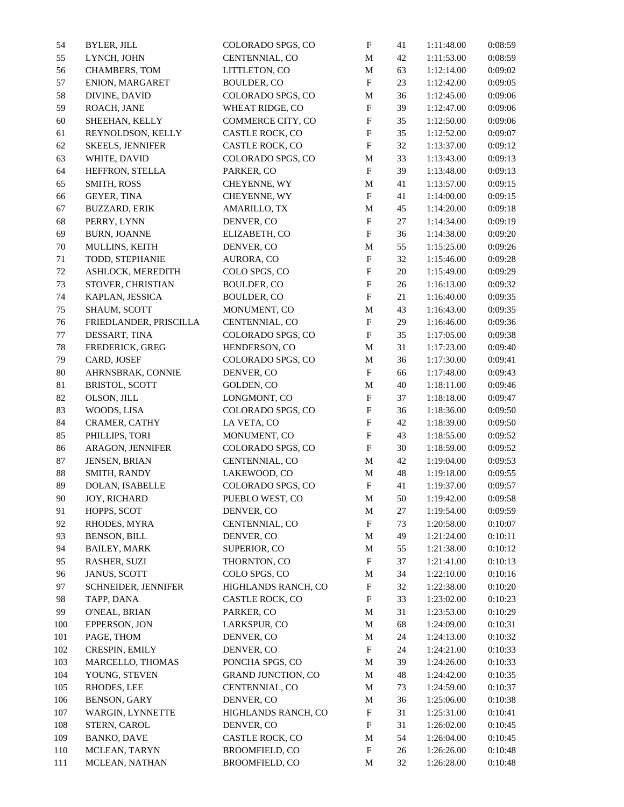| 54      | <b>BYLER, JILL</b>     | COLORADO SPGS, CO         | $\boldsymbol{\mathrm{F}}$ | 41     | 1:11:48.00               | 0:08:59 |
|---------|------------------------|---------------------------|---------------------------|--------|--------------------------|---------|
| 55      | LYNCH, JOHN            | CENTENNIAL, CO            | $\mathbf M$               | 42     | 1:11:53.00               | 0:08:59 |
| 56      | CHAMBERS, TOM          | LITTLETON, CO             | $\mathbf M$               | 63     | 1:12:14.00               | 0:09:02 |
| 57      | ENION, MARGARET        | BOULDER, CO               | $\boldsymbol{\mathrm{F}}$ | 23     | 1:12:42.00               | 0:09:05 |
| 58      | DIVINE, DAVID          | COLORADO SPGS, CO         | M                         | 36     | 1:12:45.00               | 0:09:06 |
| 59      | ROACH, JANE            | WHEAT RIDGE, CO           | ${\bf F}$                 | 39     | 1:12:47.00               | 0:09:06 |
| 60      | SHEEHAN, KELLY         | COMMERCE CITY, CO         | $\boldsymbol{\mathrm{F}}$ | 35     | 1:12:50.00               | 0:09:06 |
| 61      | REYNOLDSON, KELLY      | CASTLE ROCK, CO           | $\mathbf{F}$              | 35     | 1:12:52.00               | 0:09:07 |
| 62      | SKEELS, JENNIFER       | CASTLE ROCK, CO           | ${\bf F}$                 | 32     | 1:13:37.00               | 0:09:12 |
| 63      | WHITE, DAVID           | COLORADO SPGS, CO         | $\mathbf M$               | 33     | 1:13:43.00               | 0:09:13 |
| 64      | HEFFRON, STELLA        | PARKER, CO                | $\boldsymbol{\mathrm{F}}$ | 39     | 1:13:48.00               | 0:09:13 |
| 65      | SMITH, ROSS            | CHEYENNE, WY              | M                         | 41     | 1:13:57.00               | 0:09:15 |
| 66      | <b>GEYER, TINA</b>     | CHEYENNE, WY              | $\boldsymbol{\mathrm{F}}$ | 41     | 1:14:00.00               | 0:09:15 |
| 67      | <b>BUZZARD, ERIK</b>   | AMARILLO, TX              | M                         | 45     | 1:14:20.00               | 0:09:18 |
| 68      | PERRY, LYNN            | DENVER, CO                | $\boldsymbol{\mathrm{F}}$ | 27     | 1:14:34.00               | 0:09:19 |
| 69      | <b>BURN, JOANNE</b>    | ELIZABETH, CO             | $\boldsymbol{\mathrm{F}}$ | 36     | 1:14:38.00               | 0:09:20 |
|         |                        |                           |                           |        |                          |         |
| 70      | MULLINS, KEITH         | DENVER, CO                | M                         | 55     | 1:15:25.00               | 0:09:26 |
| 71      | TODD, STEPHANIE        | AURORA, CO                | ${\bf F}$                 | 32     | 1:15:46.00               | 0:09:28 |
| $72\,$  | ASHLOCK, MEREDITH      | COLO SPGS, CO             | $\boldsymbol{\mathrm{F}}$ | 20     | 1:15:49.00               | 0:09:29 |
| 73      | STOVER, CHRISTIAN      | BOULDER, CO               | $\boldsymbol{\mathrm{F}}$ | 26     | 1:16:13.00               | 0:09:32 |
| 74      | KAPLAN, JESSICA        | <b>BOULDER, CO</b>        | $\boldsymbol{\mathrm{F}}$ | 21     | 1:16:40.00               | 0:09:35 |
| 75      | SHAUM, SCOTT           | MONUMENT, CO              | $\mathbf M$               | 43     | 1:16:43.00               | 0:09:35 |
| 76      | FRIEDLANDER, PRISCILLA | CENTENNIAL, CO            | $\boldsymbol{\mathrm{F}}$ | 29     | 1:16:46.00               | 0:09:36 |
| $77 \,$ | DESSART, TINA          | COLORADO SPGS, CO         | $\boldsymbol{\mathrm{F}}$ | 35     | 1:17:05.00               | 0:09:38 |
| $78\,$  | FREDERICK, GREG        | HENDERSON, CO             | M                         | 31     | 1:17:23.00               | 0:09:40 |
| 79      | CARD, JOSEF            | COLORADO SPGS, CO         | M                         | 36     | 1:17:30.00               | 0:09:41 |
| $80\,$  | AHRNSBRAK, CONNIE      | DENVER, CO                | $\boldsymbol{\mathrm{F}}$ | 66     | 1:17:48.00               | 0:09:43 |
| 81      | BRISTOL, SCOTT         | GOLDEN, CO                | M                         | 40     | 1:18:11.00               | 0:09:46 |
| 82      | OLSON, JILL            | LONGMONT, CO              | ${\bf F}$                 | 37     | 1:18:18.00               | 0:09:47 |
| 83      | WOODS, LISA            | COLORADO SPGS, CO         | $\boldsymbol{\mathrm{F}}$ | 36     | 1:18:36.00               | 0:09:50 |
| 84      | CRAMER, CATHY          | LA VETA, CO               | $\boldsymbol{\mathrm{F}}$ | 42     | 1:18:39.00               | 0:09:50 |
| 85      | PHILLIPS, TORI         | MONUMENT, CO              | $\boldsymbol{\mathrm{F}}$ | 43     | 1:18:55.00               | 0:09:52 |
| 86      | ARAGON, JENNIFER       | COLORADO SPGS, CO         | $\boldsymbol{\mathrm{F}}$ | 30     | 1:18:59.00               | 0:09:52 |
| 87      | JENSEN, BRIAN          | CENTENNIAL, CO            | M                         | 42     | 1:19:04.00               | 0:09:53 |
| 88      | SMITH, RANDY           | LAKEWOOD, CO              | M                         | 48     | 1:19:18.00               | 0:09:55 |
| 89      | DOLAN, ISABELLE        | COLORADO SPGS, CO         | $\boldsymbol{\mathrm{F}}$ | 41     | 1:19:37.00               | 0:09:57 |
| 90      | JOY, RICHARD           | PUEBLO WEST, CO           | $\mathbf M$               | 50     | 1:19:42.00               | 0:09:58 |
| 91      | HOPPS, SCOT            | DENVER, CO                | M                         | 27     | 1:19:54.00               | 0:09:59 |
| 92      | RHODES, MYRA           | CENTENNIAL, CO            | ${\bf F}$                 | 73     | 1:20:58.00               | 0:10:07 |
| 93      | <b>BENSON, BILL</b>    | DENVER, CO                | M                         | 49     | 1:21:24.00               | 0:10:11 |
| 94      | <b>BAILEY, MARK</b>    | SUPERIOR, CO              | M                         | 55     | 1:21:38.00               | 0:10:12 |
| 95      | RASHER, SUZI           | THORNTON, CO              | $\boldsymbol{\mathrm{F}}$ | 37     | 1:21:41.00               | 0:10:13 |
| 96      | JANUS, SCOTT           | COLO SPGS, CO             | M                         | 34     | 1:22:10.00               | 0:10:16 |
| 97      | SCHNEIDER, JENNIFER    | HIGHLANDS RANCH, CO       | ${\bf F}$                 | 32     | 1:22:38.00               | 0:10:20 |
|         |                        | CASTLE ROCK, CO           | ${\rm F}$                 | 33     |                          |         |
| 98      | TAPP, DANA             |                           |                           |        | 1:23:02.00<br>1:23:53.00 | 0:10:23 |
| 99      | O'NEAL, BRIAN          | PARKER, CO                | M                         | 31     |                          | 0:10:29 |
| 100     | EPPERSON, JON          | LARKSPUR, CO              | M                         | 68     | 1:24:09.00               | 0:10:31 |
| 101     | PAGE, THOM             | DENVER, CO                | M                         | 24     | 1:24:13.00               | 0:10:32 |
| 102     | CRESPIN, EMILY         | DENVER, CO                | F                         | 24     | 1:24:21.00               | 0:10:33 |
| 103     | MARCELLO, THOMAS       | PONCHA SPGS, CO           | M                         | 39     | 1:24:26.00               | 0:10:33 |
| 104     | YOUNG, STEVEN          | <b>GRAND JUNCTION, CO</b> | M                         | 48     | 1:24:42.00               | 0:10:35 |
| 105     | RHODES, LEE            | CENTENNIAL, CO            | M                         | 73     | 1:24:59.00               | 0:10:37 |
| 106     | BENSON, GARY           | DENVER, CO                | M                         | 36     | 1:25:06.00               | 0:10:38 |
| 107     | WARGIN, LYNNETTE       | HIGHLANDS RANCH, CO       | F                         | 31     | 1:25:31.00               | 0:10:41 |
| 108     | STERN, CAROL           | DENVER, CO                | $\boldsymbol{\mathrm{F}}$ | 31     | 1:26:02.00               | 0:10:45 |
| 109     | <b>BANKO, DAVE</b>     | CASTLE ROCK, CO           | M                         | 54     | 1:26:04.00               | 0:10:45 |
| 110     | MCLEAN, TARYN          | BROOMFIELD, CO            | $\boldsymbol{\mathrm{F}}$ | $26\,$ | 1:26:26.00               | 0:10:48 |
| 111     | MCLEAN, NATHAN         | BROOMFIELD, CO            | M                         | 32     | 1:26:28.00               | 0:10:48 |